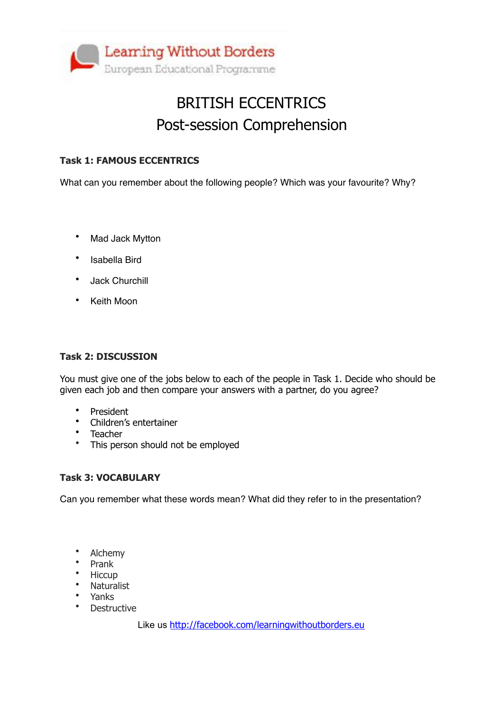

## BRITISH ECCENTRICS Post-session Comprehension

### **Task 1: FAMOUS ECCENTRICS**

What can you remember about the following people? Which was your favourite? Why?

- Mad Jack Mytton
- Isabella Bird
- Jack Churchill
- Keith Moon

#### **Task 2: DISCUSSION**

You must give one of the jobs below to each of the people in Task 1. Decide who should be given each job and then compare your answers with a partner, do you agree?

- President
- Children's entertainer
- Teacher
- This person should not be employed

#### **Task 3: VOCABULARY**

Can you remember what these words mean? What did they refer to in the presentation?

- Alchemy
- Prank
- Hiccup
- Naturalist
- Yanks
- **Destructive**

Like us <http://facebook.com/learningwithoutborders.eu>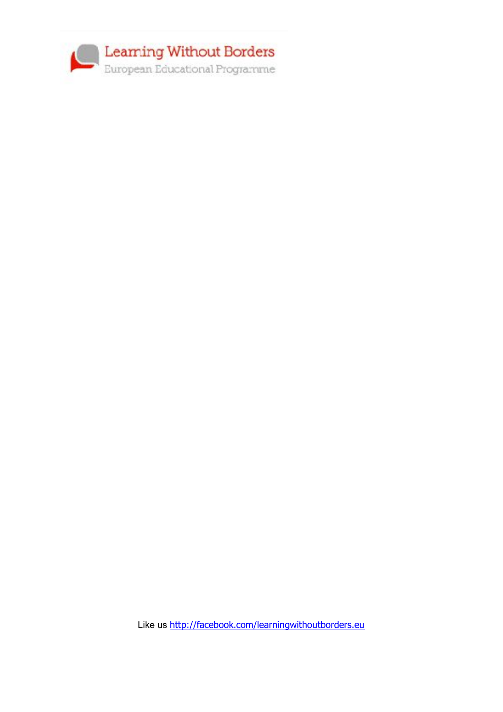

Like us <http://facebook.com/learningwithoutborders.eu>